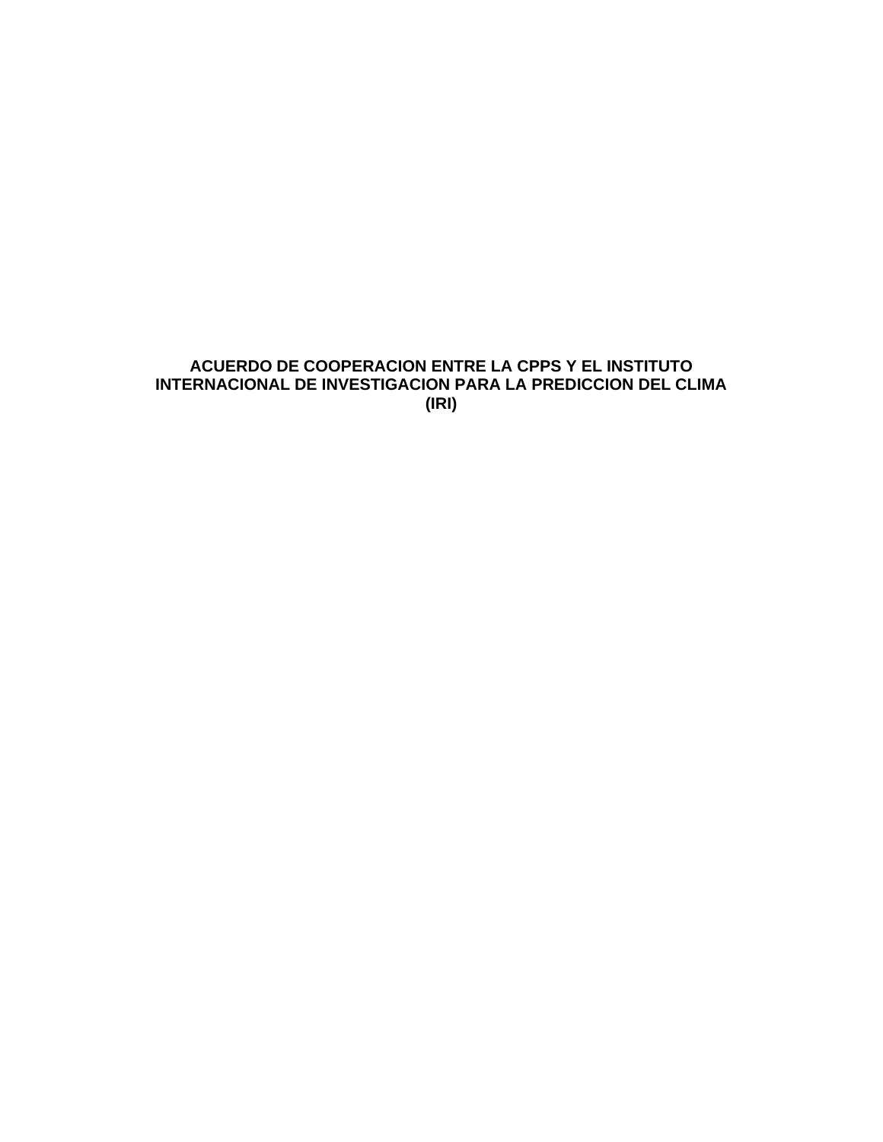# **ACUERDO DE COOPERACION ENTRE LA CPPS Y EL INSTITUTO INTERNACIONAL DE INVESTIGACION PARA LA PREDICCION DEL CLIMA (IRI)**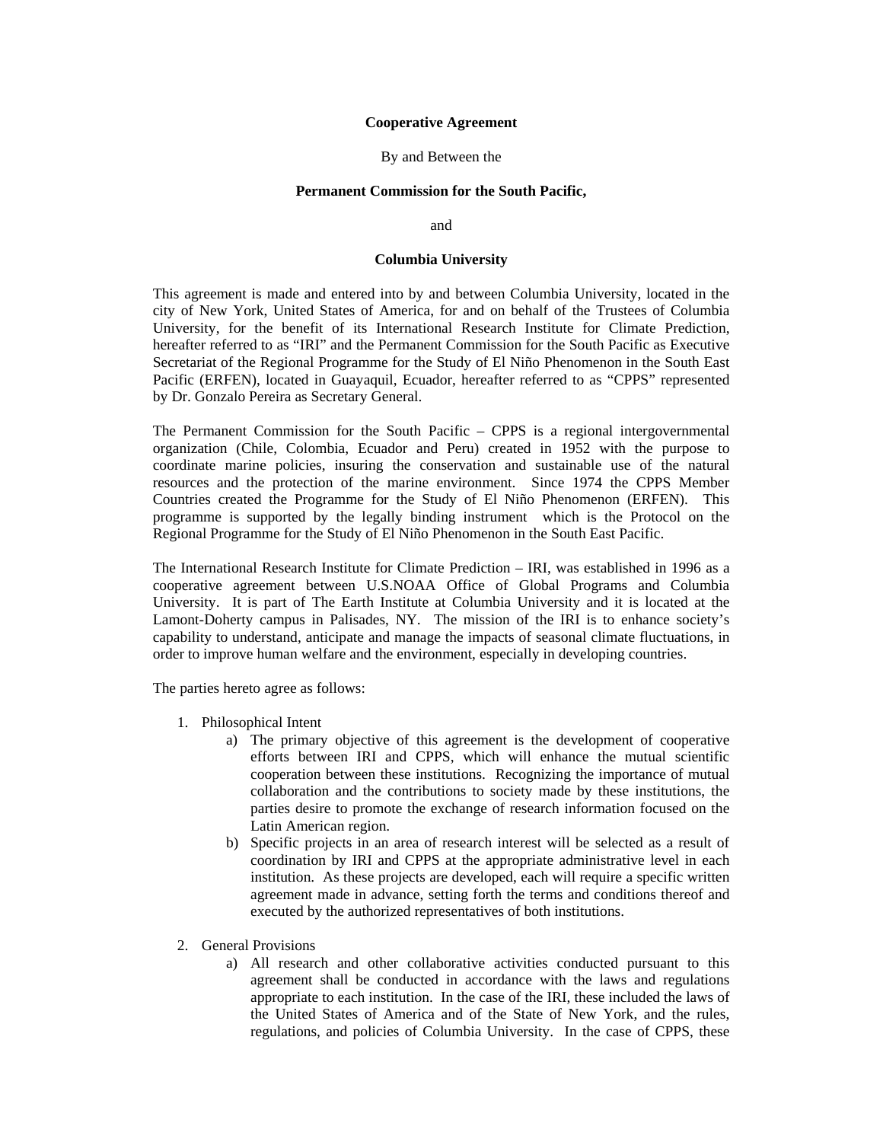### **Cooperative Agreement**

#### By and Between the

#### **Permanent Commission for the South Pacific,**

and

#### **Columbia University**

This agreement is made and entered into by and between Columbia University, located in the city of New York, United States of America, for and on behalf of the Trustees of Columbia University, for the benefit of its International Research Institute for Climate Prediction, hereafter referred to as "IRI" and the Permanent Commission for the South Pacific as Executive Secretariat of the Regional Programme for the Study of El Niño Phenomenon in the South East Pacific (ERFEN), located in Guayaquil, Ecuador, hereafter referred to as "CPPS" represented by Dr. Gonzalo Pereira as Secretary General.

The Permanent Commission for the South Pacific – CPPS is a regional intergovernmental organization (Chile, Colombia, Ecuador and Peru) created in 1952 with the purpose to coordinate marine policies, insuring the conservation and sustainable use of the natural resources and the protection of the marine environment. Since 1974 the CPPS Member Countries created the Programme for the Study of El Niño Phenomenon (ERFEN). This programme is supported by the legally binding instrument which is the Protocol on the Regional Programme for the Study of El Niño Phenomenon in the South East Pacific.

The International Research Institute for Climate Prediction – IRI, was established in 1996 as a cooperative agreement between U.S.NOAA Office of Global Programs and Columbia University. It is part of The Earth Institute at Columbia University and it is located at the Lamont-Doherty campus in Palisades, NY. The mission of the IRI is to enhance society's capability to understand, anticipate and manage the impacts of seasonal climate fluctuations, in order to improve human welfare and the environment, especially in developing countries.

The parties hereto agree as follows:

- 1. Philosophical Intent
	- a) The primary objective of this agreement is the development of cooperative efforts between IRI and CPPS, which will enhance the mutual scientific cooperation between these institutions. Recognizing the importance of mutual collaboration and the contributions to society made by these institutions, the parties desire to promote the exchange of research information focused on the Latin American region.
	- b) Specific projects in an area of research interest will be selected as a result of coordination by IRI and CPPS at the appropriate administrative level in each institution. As these projects are developed, each will require a specific written agreement made in advance, setting forth the terms and conditions thereof and executed by the authorized representatives of both institutions.
- 2. General Provisions
	- a) All research and other collaborative activities conducted pursuant to this agreement shall be conducted in accordance with the laws and regulations appropriate to each institution. In the case of the IRI, these included the laws of the United States of America and of the State of New York, and the rules, regulations, and policies of Columbia University. In the case of CPPS, these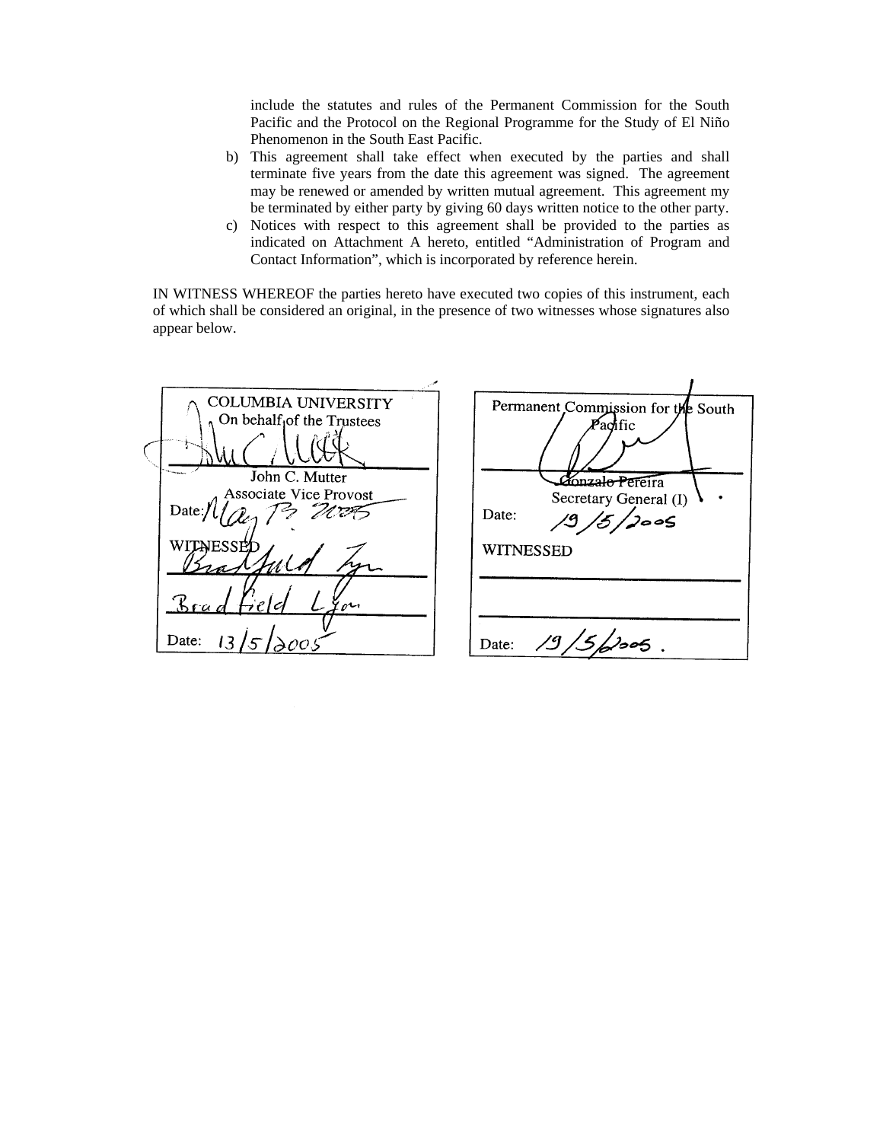include the statutes and rules of the Permanent Commission for the South Pacific and the Protocol on the Regional Programme for the Study of El Niño Phenomenon in the South East Pacific.

- b) This agreement shall take effect when executed by the parties and shall terminate five years from the date this agreement was signed. The agreement may be renewed or amended by written mutual agreement. This agreement my be terminated by either party by giving 60 days written notice to the other party.
- c) Notices with respect to this agreement shall be provided to the parties as indicated on Attachment A hereto, entitled "Administration of Program and Contact Information", which is incorporated by reference herein.

IN WITNESS WHEREOF the parties hereto have executed two copies of this instrument, each of which shall be considered an original, in the presence of two witnesses whose signatures also appear below.

|                   | COLUMBIA UNIVERSITY<br>On behalf <sub>1</sub> of the Trustees | Permanent Commission for the South<br>$\cancel{P}$ achfic              |
|-------------------|---------------------------------------------------------------|------------------------------------------------------------------------|
| Date: $/$         | John C. Mutter<br>Associate Vice Provost                      | <b>Zonzalo Pere</b> ira<br>Secretary General (I)<br>Date:<br>,<br>JooS |
| WITALESSEL<br>Bra | eon                                                           | <b>WITNESSED</b>                                                       |
| Date:             |                                                               | Date:                                                                  |